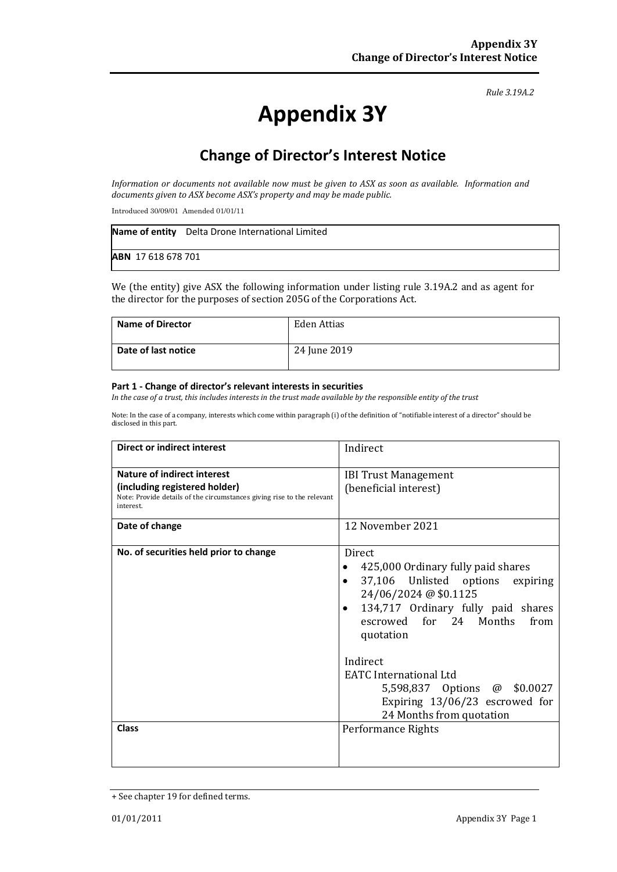*Rule 3.19A.2*

# **Appendix 3Y**

# **Change of Director's Interest Notice**

*Information or documents not available now must be given to ASX as soon as available. Information and documents given to ASX become ASX's property and may be made public.*

Introduced 30/09/01 Amended 01/01/11

|                    | Name of entity Delta Drone International Limited |
|--------------------|--------------------------------------------------|
| ABN 17 618 678 701 |                                                  |

We (the entity) give ASX the following information under listing rule 3.19A.2 and as agent for the director for the purposes of section 205G of the Corporations Act.

| <b>Name of Director</b> | Eden Attias  |
|-------------------------|--------------|
| Date of last notice     | 24 June 2019 |

#### **Part 1 - Change of director's relevant interests in securities**

*In the case of a trust, this includes interests in the trust made available by the responsible entity of the trust*

Note: In the case of a company, interests which come within paragraph (i) of the definition of "notifiable interest of a director" should be disclosed in this part.

| <b>Direct or indirect interest</b>                                                                                                                  | Indirect                                                                                                                                                                                                                                                                                                                                                         |  |
|-----------------------------------------------------------------------------------------------------------------------------------------------------|------------------------------------------------------------------------------------------------------------------------------------------------------------------------------------------------------------------------------------------------------------------------------------------------------------------------------------------------------------------|--|
| Nature of indirect interest<br>(including registered holder)<br>Note: Provide details of the circumstances giving rise to the relevant<br>interest. | <b>IBI Trust Management</b><br>(beneficial interest)                                                                                                                                                                                                                                                                                                             |  |
| Date of change                                                                                                                                      | 12 November 2021                                                                                                                                                                                                                                                                                                                                                 |  |
| No. of securities held prior to change                                                                                                              | <b>Direct</b><br>425,000 Ordinary fully paid shares<br>37,106 Unlisted options<br>expiring<br>$\bullet$<br>24/06/2024 @ \$0.1125<br>134,717 Ordinary fully paid shares<br>escrowed for 24 Months<br>from<br>quotation<br>Indirect<br><b>EATC</b> International Ltd<br>5,598,837 Options @ \$0.0027<br>Expiring 13/06/23 escrowed for<br>24 Months from quotation |  |
| <b>Class</b>                                                                                                                                        | Performance Rights                                                                                                                                                                                                                                                                                                                                               |  |

<sup>+</sup> See chapter 19 for defined terms.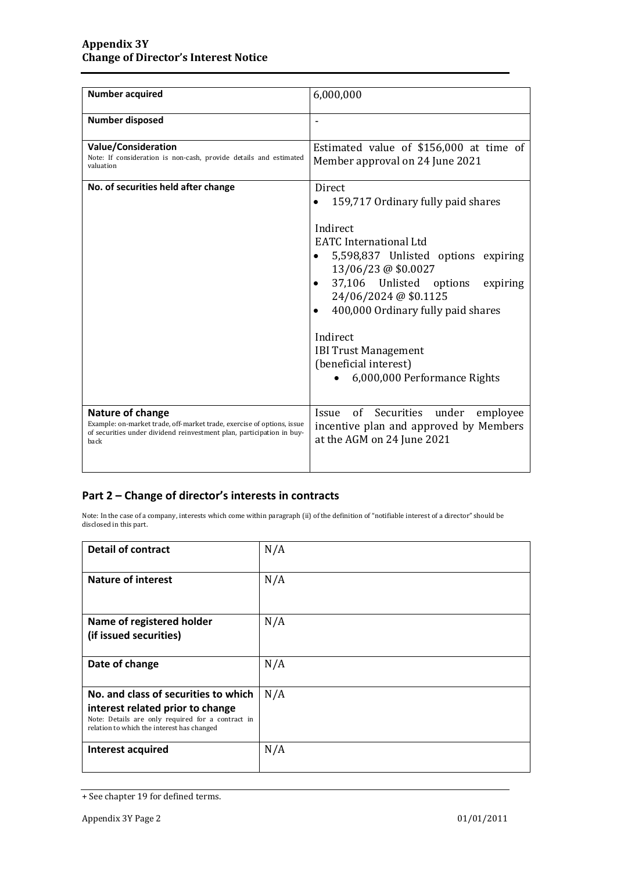| <b>Number acquired</b>                                                                                                                                                      | 6,000,000                                                                                                                                                                                                                                                                                                                                                         |  |
|-----------------------------------------------------------------------------------------------------------------------------------------------------------------------------|-------------------------------------------------------------------------------------------------------------------------------------------------------------------------------------------------------------------------------------------------------------------------------------------------------------------------------------------------------------------|--|
| <b>Number disposed</b>                                                                                                                                                      |                                                                                                                                                                                                                                                                                                                                                                   |  |
| <b>Value/Consideration</b><br>Note: If consideration is non-cash, provide details and estimated<br>valuation                                                                | Estimated value of \$156,000 at time of<br>Member approval on 24 June 2021                                                                                                                                                                                                                                                                                        |  |
| No. of securities held after change                                                                                                                                         | Direct<br>159,717 Ordinary fully paid shares<br>Indirect<br><b>EATC</b> International Ltd<br>5,598,837 Unlisted options expiring<br>13/06/23 @ \$0.0027<br>37,106 Unlisted options<br>expiring<br>24/06/2024 @ \$0.1125<br>400,000 Ordinary fully paid shares<br>Indirect<br><b>IBI Trust Management</b><br>(beneficial interest)<br>6,000,000 Performance Rights |  |
| Nature of change<br>Example: on-market trade, off-market trade, exercise of options, issue<br>of securities under dividend reinvestment plan, participation in buy-<br>back | Issue of Securities under employee<br>incentive plan and approved by Members<br>at the AGM on 24 June 2021                                                                                                                                                                                                                                                        |  |

### **Part 2 – Change of director's interests in contracts**

Note: In the case of a company, interests which come within paragraph (ii) of the definition of "notifiable interest of a director" should be disclosed in this part.

| <b>Detail of contract</b>                                                                                                                                                   | N/A |
|-----------------------------------------------------------------------------------------------------------------------------------------------------------------------------|-----|
| <b>Nature of interest</b>                                                                                                                                                   | N/A |
| Name of registered holder<br>(if issued securities)                                                                                                                         | N/A |
| Date of change                                                                                                                                                              | N/A |
| No. and class of securities to which<br>interest related prior to change<br>Note: Details are only required for a contract in<br>relation to which the interest has changed | N/A |
| Interest acquired                                                                                                                                                           | N/A |

<sup>+</sup> See chapter 19 for defined terms.